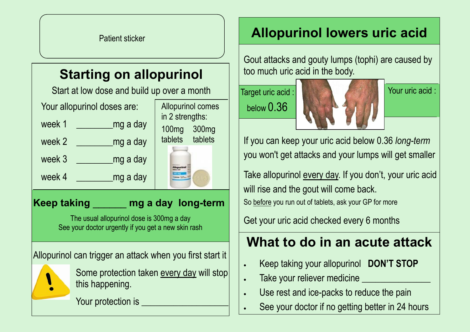# **Starting on allopurinol**

Start at low dose and build up over a month

| Your allopurinol doses are: |          | <b>Allopurinol comes</b><br>in 2 strengths: |
|-----------------------------|----------|---------------------------------------------|
| week 1                      | mg a day | 300 <sub>mg</sub><br>100 <sub>mg</sub>      |
| week 2                      | mg a day | tablets<br>tablets                          |
| week 3                      | mg a day |                                             |
| week 4                      | mg a day |                                             |

### **Keep taking** \_\_\_\_\_\_ **mg a day long-term**

The usual allopurinol dose is 300mg a day See your doctor urgently if you get a new skin rash

Allopurinol can trigger an attack when you first start it



Some protection taken every day will stop this happening.

Your protection is

## **Allopurinol lowers uric acid**

Gout attacks and gouty lumps (tophi) are caused by too much uric acid in the body.

Target uric acid : below 0.36



Your uric acid :

If you can keep your uric acid below 0.36 *long-term*  you won't get attacks and your lumps will get smaller

Take allopurinol every day. If you don't, your uric acid will rise and the gout will come back. So before you run out of tablets, ask your GP for more

Get your uric acid checked every 6 months

## **What to do in an acute attack**

- Keep taking your allopurinol **DON'T STOP**
- Take your reliever medicine
- Use rest and ice-packs to reduce the pain
- See your doctor if no getting better in 24 hours